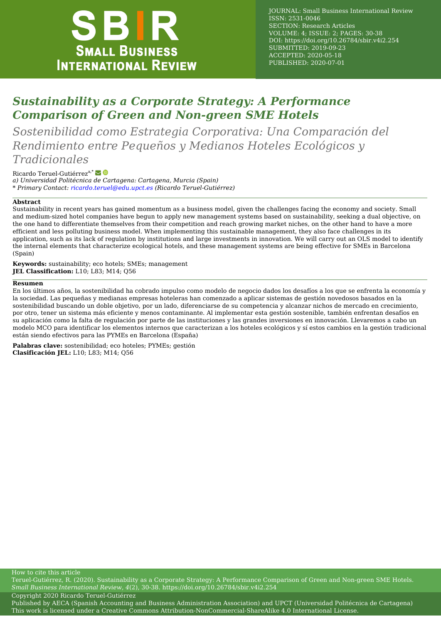

JOURNAL: Small Business International Review ISSN: 2531-0046 SECTION: Research Articles VOLUME: 4; ISSUE: 2; PAGES: 30-38 DOI:<https://doi.org/10.26784/sbir.v4i2.254> SUBMITTED: 2019-09-23 ACCEPTED: 2020-05-18 PUBLISHED: 2020-07-01

# *Sustainability as a Corporate Strategy: A Performance Comparison of Green and Non-green SME Hotels*

*Sostenibilidad como Estrategia Corporativa: Una Comparación del Rendimiento entre Pequeños y Medianos Hoteles Ecológicos y Tradicionales*

Ricardo Teruel-Gutiérrez<sup>a,\*</sup> *a) Universidad Politécnica de Cartagena: Cartagena, Murcia (Spain) \* Primary Contact: [ricardo.teruel@edu.upct.es](mailto:ricardo.teruel@edu.upct.es) (Ricardo Teruel-Gutiérrez)*

#### **Abstract**

Sustainability in recent years has gained momentum as a business model, given the challenges facing the economy and society. Small and medium‐sized hotel companies have begun to apply new management systems based on sustainability, seeking a dual objective, on the one hand to differentiate themselves from their competition and reach growing market niches, on the other hand to have a more efficient and less polluting business model. When implementing this sustainable management, they also face challenges in its application, such as its lack of regulation by institutions and large investments in innovation. We will carry out an OLS model to identify the internal elements that characterize ecological hotels, and these management systems are being effective for SMEs in Barcelona (Spain)

**Keywords:** sustainability; eco hotels; SMEs; management **JEL Classification:** L10; L83; M14; Q56

#### **Resumen**

En los últimos años, la sostenibilidad ha cobrado impulso como modelo de negocio dados los desafíos a los que se enfrenta la economía y la sociedad. Las pequeñas y medianas empresas hoteleras han comenzado a aplicar sistemas de gestión novedosos basados en la sostenibilidad buscando un doble objetivo, por un lado, diferenciarse de su competencia y alcanzar nichos de mercado en crecimiento, por otro, tener un sistema más eficiente y menos contaminante. Al implementar esta gestión sostenible, también enfrentan desafíos en su aplicación como la falta de regulación por parte de las instituciones y las grandes inversiones en innovación. Llevaremos a cabo un modelo MCO para identificar los elementos internos que caracterizan a los hoteles ecológicos y sí estos cambios en la gestión tradicional están siendo efectivos para las PYMEs en Barcelona (España)

**Palabras clave:** sostenibilidad; eco hoteles; PYMEs; gestión **Clasificación JEL:** L10; L83; M14; Q56

How to cite this article

Teruel-Gutiérrez, R. (2020). Sustainability as a Corporate Strategy: A Performance Comparison of Green and Non-green SME Hotels. *Small Business International Review*, *4*(2), 30-38.<https://doi.org/10.26784/sbir.v4i2.254>

Copyright 2020 Ricardo Teruel-Gutiérrez

Published by [AECA \(Spanish Accounting and Business Administration Association\)](http://aeca.es/) and [UPCT \(Universidad Politécnica de Cartagena\)](http://upct.es/) This work is licensed under a [Creative Commons Attribution-NonCommercial-ShareAlike 4.0 International License.](https://creativecommons.org/licenses/by-nc-sa/4.0/)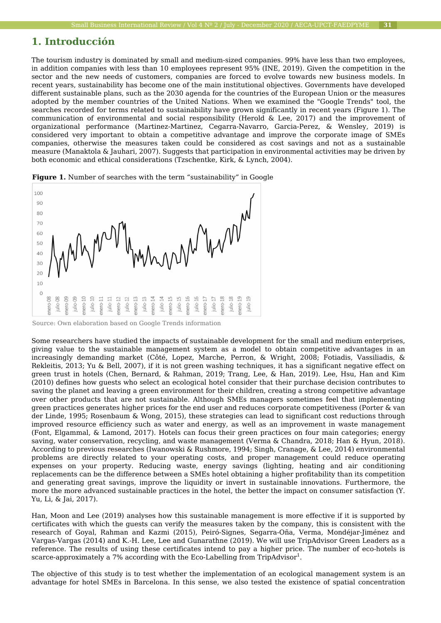# **1. Introducción**

The tourism industry is dominated by small and medium-sized companies. 99% have less than two employees, in addition companies with less than 10 employees represent 95% (INE, 2019). Given the competition in the sector and the new needs of customers, companies are forced to evolve towards new business models. In recent years, sustainability has become one of the main institutional objectives. Governments have developed different sustainable plans, such as the 2030 agenda for the countries of the European Union or the measures adopted by the member countries of the United Nations. When we examined the "Google Trends" tool, the searches recorded for terms related to sustainability have grown significantly in recent years (Figure 1). The communication of environmental and social responsibility (Herold & Lee, 2017) and the improvement of organizational performance (Martinez-Martinez, Cegarra-Navarro, Garcia-Perez, & Wensley, 2019) is considered very important to obtain a competitive advantage and improve the corporate image of SMEs companies, otherwise the measures taken could be considered as cost savings and not as a sustainable measure (Manaktola & Jauhari, 2007). Suggests that participation in environmental activities may be driven by both economic and ethical considerations (Tzschentke, Kirk, & Lynch, 2004).



**Figure 1.** Number of searches with the term "sustainability" in Google

Some researchers have studied the impacts of sustainable development for the small and medium enterprises, giving value to the sustainable management system as a model to obtain competitive advantages in an increasingly demanding market (Côté, Lopez, Marche, Perron, & Wright, 2008; Fotiadis, Vassiliadis, & Rekleitis, 2013; Yu & Bell, 2007), if it is not green washing techniques, it has a significant negative effect on green trust in hotels (Chen, Bernard, & Rahman, 2019; Trang, Lee, & Han, 2019). Lee, Hsu, Han and Kim (2010) defines how guests who select an ecological hotel consider that their purchase decision contributes to saving the planet and leaving a green environment for their children, creating a strong competitive advantage over other products that are not sustainable. Although SMEs managers sometimes feel that implementing green practices generates higher prices for the end user and reduces corporate competitiveness (Porter & van der Linde, 1995; Rosenbaum & Wong, 2015), these strategies can lead to significant cost reductions through improved resource efficiency such as water and energy, as well as an improvement in waste management (Font, Elgammal, & Lamond, 2017). Hotels can focus their green practices on four main categories; energy saving, water conservation, recycling, and waste management (Verma & Chandra, 2018; Han & Hyun, 2018). According to previous researches (Iwanowski & Rushmore, 1994; Singh, Cranage, & Lee, 2014) environmental problems are directly related to your operating costs, and proper management could reduce operating expenses on your property. Reducing waste, energy savings (lighting, heating and air conditioning replacements can be the difference between a SMEs hotel obtaining a higher profitability than its competition and generating great savings, improve the liquidity or invert in sustainable innovations. Furthermore, the more the more advanced sustainable practices in the hotel, the better the impact on consumer satisfaction (Y. Yu, Li, & Jai, 2017).

Han, Moon and Lee (2019) analyses how this sustainable management is more effective if it is supported by certificates with which the guests can verify the measures taken by the company, this is consistent with the research of Goyal, Rahman and Kazmi (2015), Peiró-Signes, Segarra-Oña, Verma, Mondéjar-Jiménez and Vargas-Vargas (2014) and K.-H. Lee, Lee and Gunarathne (2019). We will use TripAdvisor Green Leaders as a reference. The results of using these certificates intend to pay a higher price. The number of eco-hotels is scarce-approximately a 7% according with the Eco-Labelling from TripAdvisor $^{\rm 1}.$ 

The objective of this study is to test whether the implementation of an ecological management system is an advantage for hotel SMEs in Barcelona. In this sense, we also tested the existence of spatial concentration

Source: Own elaboration based on Google Trends information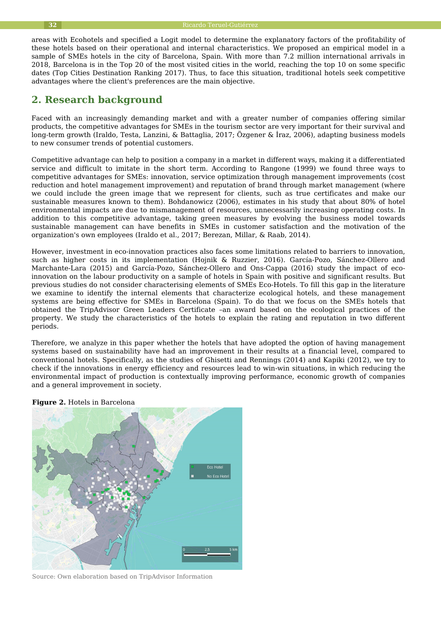areas with Ecohotels and specified a Logit model to determine the explanatory factors of the profitability of these hotels based on their operational and internal characteristics. We proposed an empirical model in a sample of SMEs hotels in the city of Barcelona, Spain. With more than 7.2 million international arrivals in 2018, Barcelona is in the Top 20 of the most visited cities in the world, reaching the top 10 on some specific dates (Top Cities Destination Ranking 2017). Thus, to face this situation, traditional hotels seek competitive advantages where the client's preferences are the main objective.

# **2. Research background**

Faced with an increasingly demanding market and with a greater number of companies offering similar products, the competitive advantages for SMEs in the tourism sector are very important for their survival and long-term growth (Iraldo, Testa, Lanzini, & Battaglia, 2017; Özgener & İraz, 2006), adapting business models to new consumer trends of potential customers.

Competitive advantage can help to position a company in a market in different ways, making it a differentiated service and difficult to imitate in the short term. According to Rangone (1999) we found three ways to competitive advantages for SMEs: innovation, service optimization through management improvements (cost reduction and hotel management improvement) and reputation of brand through market management (where we could include the green image that we represent for clients, such as true certificates and make our sustainable measures known to them). Bohdanowicz (2006), estimates in his study that about 80% of hotel environmental impacts are due to mismanagement of resources, unnecessarily increasing operating costs. In addition to this competitive advantage, taking green measures by evolving the business model towards sustainable management can have benefits in SMEs in customer satisfaction and the motivation of the organization's own employees (Iraldo et al., 2017; Berezan, Millar, & Raab, 2014).

However, investment in eco-innovation practices also faces some limitations related to barriers to innovation, such as higher costs in its implementation (Hojnik & Ruzzier, 2016). García-Pozo, Sánchez-Ollero and Marchante-Lara (2015) and García-Pozo, Sánchez-Ollero and Ons-Cappa (2016) study the impact of ecoinnovation on the labour productivity on a sample of hotels in Spain with positive and significant results. But previous studies do not consider characterising elements of SMEs Eco-Hotels. To fill this gap in the literature we examine to identify the internal elements that characterize ecological hotels, and these management systems are being effective for SMEs in Barcelona (Spain). To do that we focus on the SMEs hotels that obtained the TripAdvisor Green Leaders Certificate –an award based on the ecological practices of the property. We study the characteristics of the hotels to explain the rating and reputation in two different periods.

Therefore, we analyze in this paper whether the hotels that have adopted the option of having management systems based on sustainability have had an improvement in their results at a financial level, compared to conventional hotels. Specifically, as the studies of Ghisetti and Rennings (2014) and Kapiki (2012), we try to check if the innovations in energy efficiency and resources lead to win-win situations, in which reducing the environmental impact of production is contextually improving performance, economic growth of companies and a general improvement in society.



**Figure 2.** Hotels in Barcelona

Source: Own elaboration based on TripAdvisor Information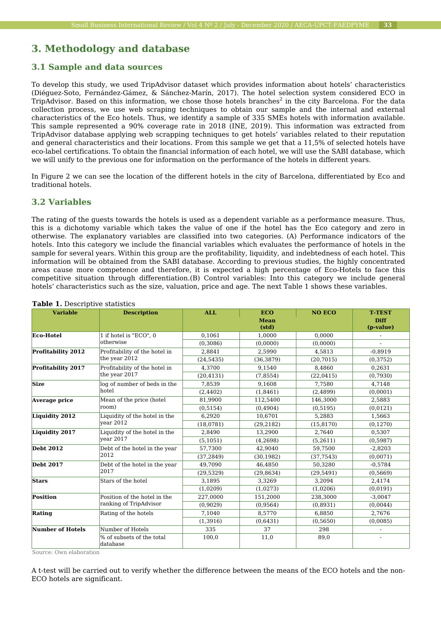# **3. Methodology and database**

## **3.1 Sample and data sources**

To develop this study, we used TripAdvisor dataset which provides information about hotels' characteristics (Diéguez-Soto, Fernández-Gámez, & Sánchez-Marín, 2017). The hotel selection system considered ECO in TripAdvisor. Based on this information, we chose those hotels branches $^2$  in the city Barcelona. For the data collection process, we use web scraping techniques to obtain our sample and the internal and external characteristics of the Eco hotels. Thus, we identify a sample of 335 SMEs hotels with information available. This sample represented a 90% coverage rate in 2018 (INE, 2019). This information was extracted from TripAdvisor database applying web scrapping techniques to get hotels' variables related to their reputation and general characteristics and their locations. From this sample we get that a 11,5% of selected hotels have eco-label certifications. To obtain the financial information of each hotel, we will use the SABI database, which we will unify to the previous one for information on the performance of the hotels in different years.

In Figure 2 we can see the location of the different hotels in the city of Barcelona, differentiated by Eco and traditional hotels.

## **3.2 Variables**

The rating of the guests towards the hotels is used as a dependent variable as a performance measure. Thus, this is a dichotomy variable which takes the value of one if the hotel has the Eco category and zero in otherwise. The explanatory variables are classified into two categories. (A) Performance indicators of the hotels. Into this category we include the financial variables which evaluates the performance of hotels in the sample for several years. Within this group are the profitability, liquidity, and indebtedness of each hotel. This information will be obtained from the SABI database. According to previous studies, the highly concentrated areas cause more competence and therefore, it is expected a high percentage of Eco-Hotels to face this competitive situation through differentiation.(B) Control variables: Into this category we include general hotels' characteristics such as the size, valuation, price and age. The next Table 1 shows these variables.

| <b>Variable</b>         | <b>Description</b>                                     | <b>ALL</b> | <b>ECO</b>           | <b>NO ECO</b> | <b>T-TEST</b>            |
|-------------------------|--------------------------------------------------------|------------|----------------------|---------------|--------------------------|
|                         |                                                        |            | <b>Mean</b><br>(std) |               | <b>Diff</b><br>(p-value) |
| <b>Eco-Hotel</b>        | 1 if hotel is "ECO", 0<br>otherwise                    | 0.1061     | 1.0000               | 0.0000        | $\overline{\phantom{a}}$ |
|                         |                                                        | (0,3086)   | (0,0000)             | (0,0000)      |                          |
| Profitability 2012      | Profitability of the hotel in<br>the year 2012         | 2,8841     | 2.5990               | 4,5813        | $-0.8919$                |
|                         |                                                        | (24, 5435) | (36, 3879)           | (20, 7015)    | (0,3752)                 |
| Profitability 2017      | Profitability of the hotel in                          | 4,3700     | 9,1540               | 8,4860        | 0,2631                   |
|                         | the year 2017                                          | (20, 4131) | (7,8554)             | (22,0415)     | (0,7930)                 |
| <b>Size</b>             | log of number of beds in the<br>hotel                  | 7,8539     | 9.1608               | 7,7580        | 4,7148                   |
|                         |                                                        | (2, 4402)  | (1,8461)             | (2,4899)      | (0,0001)                 |
| Average price           | Mean of the price (hotel<br>room)                      | 81,9900    | 112,5400             | 146,3000      | 2,5883                   |
|                         |                                                        | (0, 5154)  | (0.4904)             | (0,5195)      | (0,0121)                 |
| Liquidity 2012          | Liquidity of the hotel in the<br>year 2012             | 6,2920     | 10,6701              | 5,2883        | 1,5663                   |
|                         |                                                        | (18,0781)  | (29, 2182)           | (15, 8170)    | (0, 1270)                |
| Liquidity 2017          | Liquidity of the hotel in the<br>vear 2017             | 2,8490     | 13,2900              | 2,7640        | 0,5307                   |
|                         |                                                        | (5, 1051)  | (4,2698)             | (5,2611)      | (0.5987)                 |
| <b>Debt 2012</b>        | Debt of the hotel in the year<br>2012                  | 57,7300    | 42,9040              | 59,7500       | $-2,8203$                |
|                         |                                                        | (37, 2849) | (30, 1982)           | (37, 7543)    | (0.0071)                 |
| <b>Debt 2017</b>        | Debt of the hotel in the year                          | 49,7090    | 46,4850              | 50,3280       | $-0.5784$                |
|                         | 2017                                                   | (29, 5329) | (29, 8634)           | (29, 5491)    | (0.5669)                 |
| <b>Stars</b>            | Stars of the hotel                                     | 3,1895     | 3,3269               | 3,2094        | 2,4174                   |
|                         |                                                        | (1,0209)   | (1,0273)             | (1,0206)      | (0,0191)                 |
| <b>Position</b>         | Position of the hotel in the<br>ranking of TripAdvisor | 227,0000   | 151,2000             | 238,3000      | $-3,0047$                |
|                         |                                                        | (0,9029)   | (0,9564)             | (0.8931)      | (0,0044)                 |
| Rating                  | Rating of the hotels                                   | 7,1040     | 8,5770               | 6,8850        | 2,7676                   |
|                         |                                                        | (1,3916)   | (0,6431)             | (0, 5650)     | (0,0085)                 |
| <b>Number of Hotels</b> | Number of Hotels                                       | 335        | 37                   | 298           | $\overline{\phantom{a}}$ |
|                         | % of subsets of the total<br>database                  | 100,0      | 11,0                 | 89,0          |                          |

#### **Table 1.** Descriptive statistics

Source: Own elaboration

A t-test will be carried out to verify whether the difference between the means of the ECO hotels and the non-ECO hotels are significant.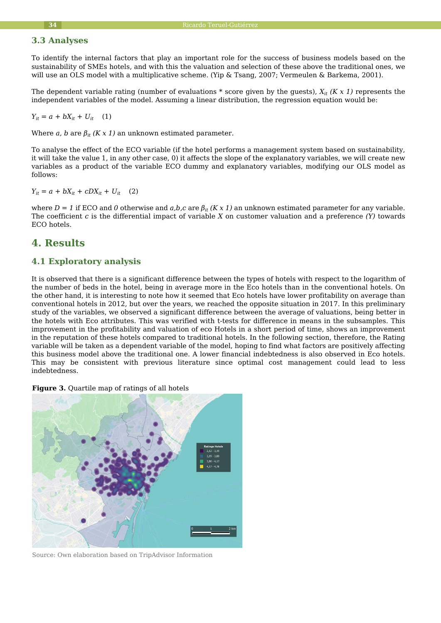## **3.3 Analyses**

To identify the internal factors that play an important role for the success of business models based on the sustainability of SMEs hotels, and with this the valuation and selection of these above the traditional ones, we will use an OLS model with a multiplicative scheme. (Yip & Tsang, 2007; Vermeulen & Barkema, 2001).

The dependent variable rating (number of evaluations \* score given by the guests), *Xit (K x 1)* represents the independent variables of the model. Assuming a linear distribution, the regression equation would be:

$$
Y_{it} = a + bX_{it} + U_{it} \quad (1)
$$

Where *a*, *b* are  $\beta_{it}$  (*K x 1*) an unknown estimated parameter.

To analyse the effect of the ECO variable (if the hotel performs a management system based on sustainability, it will take the value 1, in any other case, 0) it affects the slope of the explanatory variables, we will create new variables as a product of the variable ECO dummy and explanatory variables, modifying our OLS model as follows:

 $Y_{it} = a + bX_{it} + cDX_{it} + U_{it}$  (2)

where  $D = 1$  if ECO and 0 otherwise and  $a,b,c$  are  $\beta_{it}$  (K x 1) an unknown estimated parameter for any variable. The coefficient *c* is the differential impact of variable *X* on customer valuation and a preference *(Y)* towards ECO hotels.

# **4. Results**

## **4.1 Exploratory analysis**

It is observed that there is a significant difference between the types of hotels with respect to the logarithm of the number of beds in the hotel, being in average more in the Eco hotels than in the conventional hotels. On the other hand, it is interesting to note how it seemed that Eco hotels have lower profitability on average than conventional hotels in 2012, but over the years, we reached the opposite situation in 2017. In this preliminary study of the variables, we observed a significant difference between the average of valuations, being better in the hotels with Eco attributes. This was verified with t-tests for difference in means in the subsamples. This improvement in the profitability and valuation of eco Hotels in a short period of time, shows an improvement in the reputation of these hotels compared to traditional hotels. In the following section, therefore, the Rating variable will be taken as a dependent variable of the model, hoping to find what factors are positively affecting this business model above the traditional one. A lower financial indebtedness is also observed in Eco hotels. This may be consistent with previous literature since optimal cost management could lead to less indebtedness.

**Figure 3.** Quartile map of ratings of all hotels



Source: Own elaboration based on TripAdvisor Information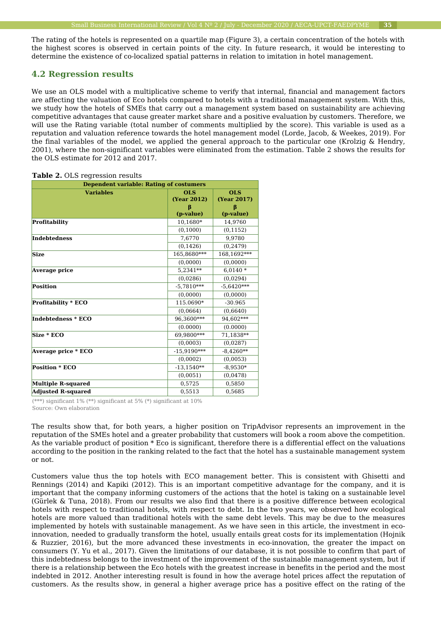The rating of the hotels is represented on a quartile map (Figure 3), a certain concentration of the hotels with the highest scores is observed in certain points of the city. In future research, it would be interesting to determine the existence of co-localized spatial patterns in relation to imitation in hotel management.

#### **4.2 Regression results**

We use an OLS model with a multiplicative scheme to verify that internal, financial and management factors are affecting the valuation of Eco hotels compared to hotels with a traditional management system. With this, we study how the hotels of SMEs that carry out a management system based on sustainability are achieving competitive advantages that cause greater market share and a positive evaluation by customers. Therefore, we will use the Rating variable (total number of comments multiplied by the score). This variable is used as a reputation and valuation reference towards the hotel management model (Lorde, Jacob, & Weekes, 2019). For the final variables of the model, we applied the general approach to the particular one (Krolzig & Hendry, 2001), where the non-significant variables were eliminated from the estimation. Table 2 shows the results for the OLS estimate for 2012 and 2017.

| <b>Dependent variable: Rating of costumers</b> |                                  |                           |  |  |  |
|------------------------------------------------|----------------------------------|---------------------------|--|--|--|
| <b>Variables</b>                               | <b>OLS</b><br><b>(Year 2012)</b> | <b>OLS</b><br>(Year 2017) |  |  |  |
|                                                | B<br>(p-value)                   | (p-value)                 |  |  |  |
| <b>Profitability</b>                           | 10,1680*                         | 14,9760                   |  |  |  |
|                                                | (0,1000)                         | (0, 1152)                 |  |  |  |
| <b>Indebtedness</b>                            | 7,6770                           | 9.9780                    |  |  |  |
|                                                | (0, 1426)                        | (0.2479)                  |  |  |  |
| <b>Size</b>                                    | 165,8680***                      | 168,1692***               |  |  |  |
|                                                | (0,0000)                         | (0,0000)                  |  |  |  |
| Average price                                  | 5.2341**                         | $6.0140*$                 |  |  |  |
|                                                | (0.0286)                         | (0.0294)                  |  |  |  |
| <b>Position</b>                                | $-5,7810***$                     | $-5,6420***$              |  |  |  |
|                                                | (0,0000)                         | (0,0000)                  |  |  |  |
| <b>Profitability * ECO</b>                     | 115.0690*                        | $-30.965$                 |  |  |  |
|                                                | (0.0664)                         | (0.6640)                  |  |  |  |
| Indebtedness * ECO                             | 96,3600***                       | 94,602***                 |  |  |  |
|                                                | (0.0000)                         | (0.0000)                  |  |  |  |
| Size * ECO                                     | 69.9800***                       | 71,1838**                 |  |  |  |
|                                                | (0,0003)                         | (0.0287)                  |  |  |  |
| Average price * ECO                            | $-15,9190***$                    | $-8,4260**$               |  |  |  |
|                                                | (0,0002)                         | (0,0053)                  |  |  |  |
| <b>Position * ECO</b>                          | $-13,1540**$                     | $-8,9530*$                |  |  |  |
|                                                | (0.0051)                         | (0.0478)                  |  |  |  |
| <b>Multiple R-squared</b>                      | 0,5725                           | 0,5850                    |  |  |  |
| <b>Adjusted R-squared</b>                      | 0,5513                           | 0,5685                    |  |  |  |

**Table 2. OLS regression results** 

(\*\*\*) significant 1% (\*\*) significant at 5% (\*) significant at 10% Source: Own elaboration

The results show that, for both years, a higher position on TripAdvisor represents an improvement in the reputation of the SMEs hotel and a greater probability that customers will book a room above the competition. As the variable product of position \* Eco is significant, therefore there is a differential effect on the valuations according to the position in the ranking related to the fact that the hotel has a sustainable management system or not.

Customers value thus the top hotels with ECO management better. This is consistent with Ghisetti and Rennings (2014) and Kapiki (2012). This is an important competitive advantage for the company, and it is important that the company informing customers of the actions that the hotel is taking on a sustainable level (Gürlek & Tuna, 2018). From our results we also find that there is a positive difference between ecological hotels with respect to traditional hotels, with respect to debt. In the two years, we observed how ecological hotels are more valued than traditional hotels with the same debt levels. This may be due to the measures implemented by hotels with sustainable management. As we have seen in this article, the investment in ecoinnovation, needed to gradually transform the hotel, usually entails great costs for its implementation (Hojnik & Ruzzier, 2016), but the more advanced these investments in eco-innovation, the greater the impact on consumers (Y. Yu et al., 2017). Given the limitations of our database, it is not possible to confirm that part of this indebtedness belongs to the investment of the improvement of the sustainable management system, but if there is a relationship between the Eco hotels with the greatest increase in benefits in the period and the most indebted in 2012. Another interesting result is found in how the average hotel prices affect the reputation of customers. As the results show, in general a higher average price has a positive effect on the rating of the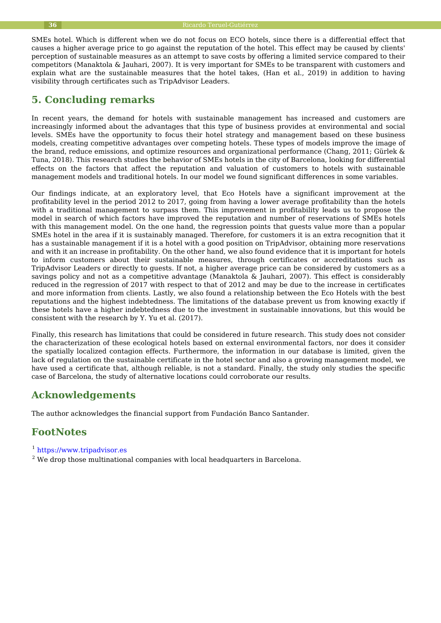SMEs hotel. Which is different when we do not focus on ECO hotels, since there is a differential effect that causes a higher average price to go against the reputation of the hotel. This effect may be caused by clients' perception of sustainable measures as an attempt to save costs by offering a limited service compared to their competitors (Manaktola & Jauhari, 2007). It is very important for SMEs to be transparent with customers and explain what are the sustainable measures that the hotel takes, (Han et al., 2019) in addition to having visibility through certificates such as TripAdvisor Leaders.

# **5. Concluding remarks**

In recent years, the demand for hotels with sustainable management has increased and customers are increasingly informed about the advantages that this type of business provides at environmental and social levels. SMEs have the opportunity to focus their hotel strategy and management based on these business models, creating competitive advantages over competing hotels. These types of models improve the image of the brand, reduce emissions, and optimize resources and organizational performance (Chang, 2011; Gürlek & Tuna, 2018). This research studies the behavior of SMEs hotels in the city of Barcelona, looking for differential effects on the factors that affect the reputation and valuation of customers to hotels with sustainable management models and traditional hotels. In our model we found significant differences in some variables.

Our findings indicate, at an exploratory level, that Eco Hotels have a significant improvement at the profitability level in the period 2012 to 2017, going from having a lower average profitability than the hotels with a traditional management to surpass them. This improvement in profitability leads us to propose the model in search of which factors have improved the reputation and number of reservations of SMEs hotels with this management model. On the one hand, the regression points that guests value more than a popular SMEs hotel in the area if it is sustainably managed. Therefore, for customers it is an extra recognition that it has a sustainable management if it is a hotel with a good position on TripAdvisor, obtaining more reservations and with it an increase in profitability. On the other hand, we also found evidence that it is important for hotels to inform customers about their sustainable measures, through certificates or accreditations such as TripAdvisor Leaders or directly to guests. If not, a higher average price can be considered by customers as a savings policy and not as a competitive advantage (Manaktola & Jauhari, 2007). This effect is considerably reduced in the regression of 2017 with respect to that of 2012 and may be due to the increase in certificates and more information from clients. Lastly, we also found a relationship between the Eco Hotels with the best reputations and the highest indebtedness. The limitations of the database prevent us from knowing exactly if these hotels have a higher indebtedness due to the investment in sustainable innovations, but this would be consistent with the research by Y. Yu et al. (2017).

Finally, this research has limitations that could be considered in future research. This study does not consider the characterization of these ecological hotels based on external environmental factors, nor does it consider the spatially localized contagion effects. Furthermore, the information in our database is limited, given the lack of regulation on the sustainable certificate in the hotel sector and also a growing management model, we have used a certificate that, although reliable, is not a standard. Finally, the study only studies the specific case of Barcelona, the study of alternative locations could corroborate our results.

# **Acknowledgements**

The author acknowledges the financial support from Fundación Banco Santander.

# **FootNotes**

- <sup>1</sup> [https://www.tripadvisor.es](https://www.tripadvisor.es/)
- $^2$  We drop those multinational companies with local headquarters in Barcelona.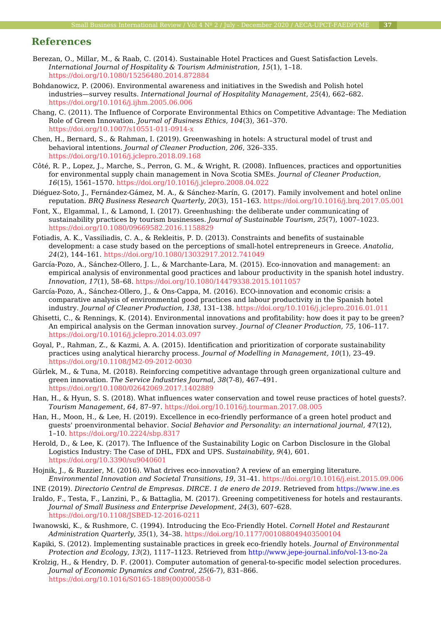# **References**

- Berezan, O., Millar, M., & Raab, C. (2014). Sustainable Hotel Practices and Guest Satisfaction Levels. *International Journal of Hospitality & Tourism Administration, 15*(1), 1–18. <https://doi.org/10.1080/15256480.2014.872884>
- Bohdanowicz, P. (2006). Environmental awareness and initiatives in the Swedish and Polish hotel industries—survey results. *International Journal of Hospitality Management, 25*(4), 662–682. <https://doi.org/10.1016/j.ijhm.2005.06.006>
- Chang, C. (2011). The Influence of Corporate Environmental Ethics on Competitive Advantage: The Mediation Role of Green Innovation. *Journal of Business Ethics, 104*(3), 361–370. <https://doi.org/10.1007/s10551-011-0914-x>
- Chen, H., Bernard, S., & Rahman, I. (2019). Greenwashing in hotels: A structural model of trust and behavioral intentions. *Journal of Cleaner Production, 206*, 326–335. <https://doi.org/10.1016/j.jclepro.2018.09.168>
- Côté, R. P., Lopez, J., Marche, S., Perron, G. M., & Wright, R. (2008). Influences, practices and opportunities for environmental supply chain management in Nova Scotia SMEs. *Journal of Cleaner Production, 16*(15), 1561–1570.<https://doi.org/10.1016/j.jclepro.2008.04.022>
- Diéguez-Soto, J., Fernández-Gámez, M. A., & Sánchez-Marín, G. (2017). Family involvement and hotel online reputation. *BRQ Business Research Quarterly, 20*(3), 151–163. <https://doi.org/10.1016/j.brq.2017.05.001>
- Font, X., Elgammal, I., & Lamond, I. (2017). Greenhushing: the deliberate under communicating of sustainability practices by tourism businesses. *Journal of Sustainable Tourism, 25*(7), 1007–1023. <https://doi.org/10.1080/09669582.2016.1158829>
- Fotiadis, A. K., Vassiliadis, C. A., & Rekleitis, P. D. (2013). Constraints and benefits of sustainable development: a case study based on the perceptions of small-hotel entrepreneurs in Greece. *Anatolia, 24*(2), 144–161.<https://doi.org/10.1080/13032917.2012.741049>
- García-Pozo, A., Sánchez-Ollero, J. L., & Marchante-Lara, M. (2015). Eco-innovation and management: an empirical analysis of environmental good practices and labour productivity in the spanish hotel industry. *Innovation, 17*(1), 58–68.<https://doi.org/10.1080/14479338.2015.1011057>
- García-Pozo, A., Sánchez-Ollero, J., & Ons-Cappa, M. (2016). ECO-innovation and economic crisis: a comparative analysis of environmental good practices and labour productivity in the Spanish hotel industry. *Journal of Cleaner Production, 138*, 131–138. <https://doi.org/10.1016/j.jclepro.2016.01.011>
- Ghisetti, C., & Rennings, K. (2014). Environmental innovations and profitability: how does it pay to be green? An empirical analysis on the German innovation survey. *Journal of Cleaner Production, 75*, 106–117. <https://doi.org/10.1016/j.jclepro.2014.03.097>
- Goyal, P., Rahman, Z., & Kazmi, A. A. (2015). Identification and prioritization of corporate sustainability practices using analytical hierarchy process. *Journal of Modelling in Management, 10*(1), 23–49. <https://doi.org/10.1108/JM2-09-2012-0030>
- Gürlek, M., & Tuna, M. (2018). Reinforcing competitive advantage through green organizational culture and green innovation. *The Service Industries Journal, 38*(7-8), 467–491. <https://doi.org/10.1080/02642069.2017.1402889>
- Han, H., & Hyun, S. S. (2018). What influences water conservation and towel reuse practices of hotel guests?. *Tourism Management, 64*, 87–97.<https://doi.org/10.1016/j.tourman.2017.08.005>
- Han, H., Moon, H., & Lee, H. (2019). Excellence in eco-friendly performance of a green hotel product and guests' proenvironmental behavior. *Social Behavior and Personality: an international journal, 47*(12), 1–10.<https://doi.org/10.2224/sbp.8317>
- Herold, D., & Lee, K. (2017). The Influence of the Sustainability Logic on Carbon Disclosure in the Global Logistics Industry: The Case of DHL, FDX and UPS. *Sustainability, 9*(4), 601. <https://doi.org/10.3390/su9040601>
- Hojnik, J., & Ruzzier, M. (2016). What drives eco-innovation? A review of an emerging literature. *Environmental Innovation and Societal Transitions, 19*, 31–41.<https://doi.org/10.1016/j.eist.2015.09.006>
- INE (2019). *Directorio Central de Empresas. DIRCE. 1 de enero de 2019*. Retrieved from<https://www.ine.es>
- Iraldo, F., Testa, F., Lanzini, P., & Battaglia, M. (2017). Greening competitiveness for hotels and restaurants. *Journal of Small Business and Enterprise Development, 24*(3), 607–628. <https://doi.org/10.1108/JSBED-12-2016-0211>
- Iwanowski, K., & Rushmore, C. (1994). Introducing the Eco-Friendly Hotel. *Cornell Hotel and Restaurant Administration Quarterly, 35*(1), 34–38.<https://doi.org/10.1177/001088049403500104>
- Kapiki, S. (2012). Implementing sustainable practices in greek eco-friendly hotels. *Journal of Environmental Protection and Ecology, 13*(2), 1117–1123. Retrieved from<http://www.jepe-journal.info/vol-13-no-2a>
- Krolzig, H., & Hendry, D. F. (2001). Computer automation of general-to-specific model selection procedures. *Journal of Economic Dynamics and Control, 25*(6-7), 831–866. [https://doi.org/10.1016/S0165-1889\(00\)00058-0](https://doi.org/10.1016/S0165-1889(00)00058-0)